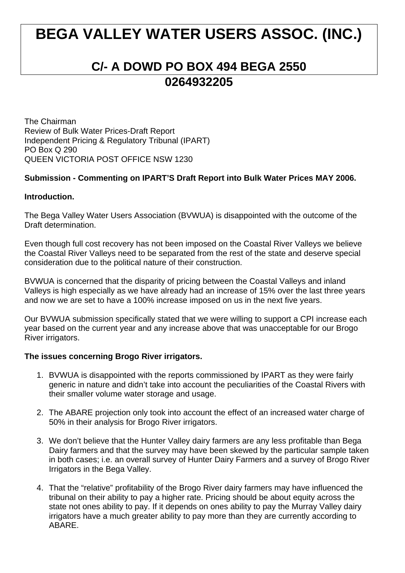# **BEGA VALLEY WATER USERS ASSOC. (INC.)**

## **C/- A DOWD PO BOX 494 BEGA 2550 0264932205**

The Chairman Review of Bulk Water Prices-Draft Report Independent Pricing & Regulatory Tribunal (IPART) PO Box Q 290 QUEEN VICTORIA POST OFFICE NSW 1230

### **Submission - Commenting on IPART'S Draft Report into Bulk Water Prices MAY 2006.**

#### **Introduction.**

The Bega Valley Water Users Association (BVWUA) is disappointed with the outcome of the Draft determination.

Even though full cost recovery has not been imposed on the Coastal River Valleys we believe the Coastal River Valleys need to be separated from the rest of the state and deserve special consideration due to the political nature of their construction.

BVWUA is concerned that the disparity of pricing between the Coastal Valleys and inland Valleys is high especially as we have already had an increase of 15% over the last three years and now we are set to have a 100% increase imposed on us in the next five years.

Our BVWUA submission specifically stated that we were willing to support a CPI increase each year based on the current year and any increase above that was unacceptable for our Brogo River irrigators.

#### **The issues concerning Brogo River irrigators.**

- 1. BVWUA is disappointed with the reports commissioned by IPART as they were fairly generic in nature and didn't take into account the peculiarities of the Coastal Rivers with their smaller volume water storage and usage.
- 2. The ABARE projection only took into account the effect of an increased water charge of 50% in their analysis for Brogo River irrigators.
- 3. We don't believe that the Hunter Valley dairy farmers are any less profitable than Bega Dairy farmers and that the survey may have been skewed by the particular sample taken in both cases; i.e. an overall survey of Hunter Dairy Farmers and a survey of Brogo River Irrigators in the Bega Valley.
- 4. That the "relative" profitability of the Brogo River dairy farmers may have influenced the tribunal on their ability to pay a higher rate. Pricing should be about equity across the state not ones ability to pay. If it depends on ones ability to pay the Murray Valley dairy irrigators have a much greater ability to pay more than they are currently according to ABARE.